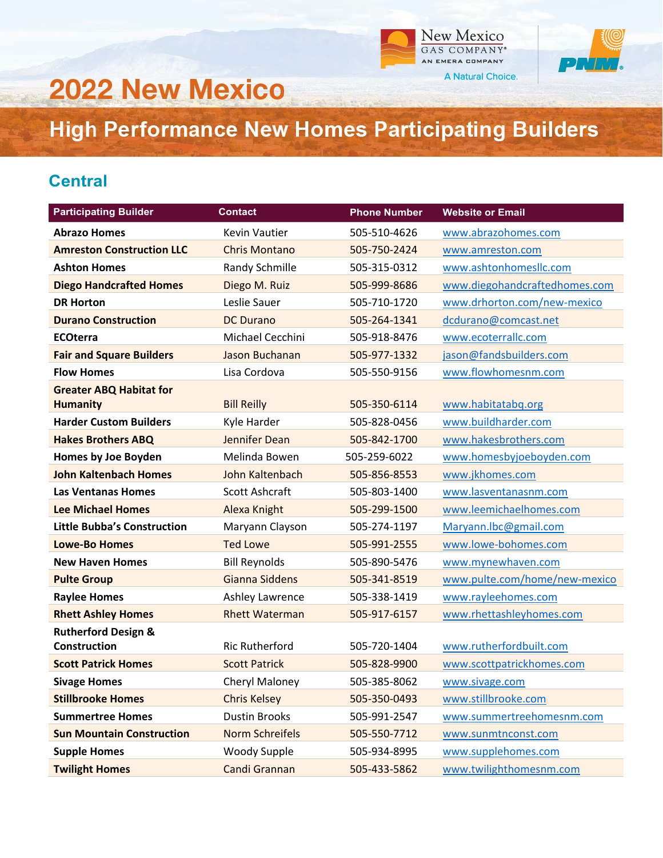



## **2022 New Mexico**

**High Performance New Homes Participating Builders** 

## **Central**

| <b>Participating Builder</b>       | <b>Contact</b>         | <b>Phone Number</b> | <b>Website or Email</b>       |
|------------------------------------|------------------------|---------------------|-------------------------------|
| <b>Abrazo Homes</b>                | <b>Kevin Vautier</b>   | 505-510-4626        | www.abrazohomes.com           |
| <b>Amreston Construction LLC</b>   | <b>Chris Montano</b>   | 505-750-2424        | www.amreston.com              |
| <b>Ashton Homes</b>                | Randy Schmille         | 505-315-0312        | www.ashtonhomesllc.com        |
| <b>Diego Handcrafted Homes</b>     | Diego M. Ruiz          | 505-999-8686        | www.diegohandcraftedhomes.com |
| <b>DR Horton</b>                   | Leslie Sauer           | 505-710-1720        | www.drhorton.com/new-mexico   |
| <b>Durano Construction</b>         | <b>DC Durano</b>       | 505-264-1341        | dcdurano@comcast.net          |
| <b>ECOterra</b>                    | Michael Cecchini       | 505-918-8476        | www.ecoterrallc.com           |
| <b>Fair and Square Builders</b>    | Jason Buchanan         | 505-977-1332        | jason@fandsbuilders.com       |
| <b>Flow Homes</b>                  | Lisa Cordova           | 505-550-9156        | www.flowhomesnm.com           |
| <b>Greater ABQ Habitat for</b>     |                        |                     |                               |
| <b>Humanity</b>                    | <b>Bill Reilly</b>     | 505-350-6114        | www.habitatabq.org            |
| <b>Harder Custom Builders</b>      | Kyle Harder            | 505-828-0456        | www.buildharder.com           |
| <b>Hakes Brothers ABQ</b>          | Jennifer Dean          | 505-842-1700        | www.hakesbrothers.com         |
| Homes by Joe Boyden                | Melinda Bowen          | 505-259-6022        | www.homesbyjoeboyden.com      |
| <b>John Kaltenbach Homes</b>       | John Kaltenbach        | 505-856-8553        | www.jkhomes.com               |
| <b>Las Ventanas Homes</b>          | <b>Scott Ashcraft</b>  | 505-803-1400        | www.lasventanasnm.com         |
| <b>Lee Michael Homes</b>           | Alexa Knight           | 505-299-1500        | www.leemichaelhomes.com       |
| <b>Little Bubba's Construction</b> | Maryann Clayson        | 505-274-1197        | Maryann.lbc@gmail.com         |
| <b>Lowe-Bo Homes</b>               | <b>Ted Lowe</b>        | 505-991-2555        | www.lowe-bohomes.com          |
| <b>New Haven Homes</b>             | <b>Bill Reynolds</b>   | 505-890-5476        | www.mynewhaven.com            |
| <b>Pulte Group</b>                 | Gianna Siddens         | 505-341-8519        | www.pulte.com/home/new-mexico |
| <b>Raylee Homes</b>                | <b>Ashley Lawrence</b> | 505-338-1419        | www.rayleehomes.com           |
| <b>Rhett Ashley Homes</b>          | <b>Rhett Waterman</b>  | 505-917-6157        | www.rhettashleyhomes.com      |
| <b>Rutherford Design &amp;</b>     |                        |                     |                               |
| <b>Construction</b>                | <b>Ric Rutherford</b>  | 505-720-1404        | www.rutherfordbuilt.com       |
| <b>Scott Patrick Homes</b>         | <b>Scott Patrick</b>   | 505-828-9900        | www.scottpatrickhomes.com     |
| <b>Sivage Homes</b>                | Cheryl Maloney         | 505-385-8062        | www.sivage.com                |
| <b>Stillbrooke Homes</b>           | <b>Chris Kelsey</b>    | 505-350-0493        | www.stillbrooke.com           |
| <b>Summertree Homes</b>            | <b>Dustin Brooks</b>   | 505-991-2547        | www.summertreehomesnm.com     |
| <b>Sun Mountain Construction</b>   | <b>Norm Schreifels</b> | 505-550-7712        | www.sunmtnconst.com           |
| <b>Supple Homes</b>                | <b>Woody Supple</b>    | 505-934-8995        | www.supplehomes.com           |
| <b>Twilight Homes</b>              | Candi Grannan          | 505-433-5862        | www.twilighthomesnm.com       |